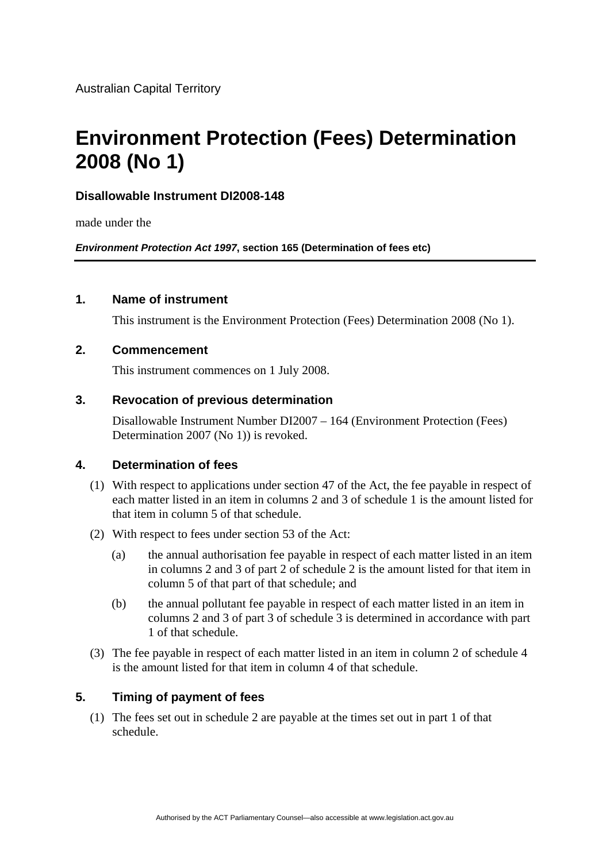# **Environment Protection (Fees) Determination 2008 (No 1)**

# **Disallowable Instrument DI2008-148**

made under the

*Environment Protection Act 1997***, section 165 (Determination of fees etc)**

### **1. Name of instrument**

This instrument is the Environment Protection (Fees) Determination 2008 (No 1).

### **2. Commencement**

This instrument commences on 1 July 2008.

# **3. Revocation of previous determination**

Disallowable Instrument Number DI2007 – 164 (Environment Protection (Fees) Determination 2007 (No 1)) is revoked.

### **4. Determination of fees**

- (1) With respect to applications under section 47 of the Act, the fee payable in respect of each matter listed in an item in columns 2 and 3 of schedule 1 is the amount listed for that item in column 5 of that schedule.
- (2) With respect to fees under section 53 of the Act:
	- (a) the annual authorisation fee payable in respect of each matter listed in an item in columns 2 and 3 of part 2 of schedule 2 is the amount listed for that item in column 5 of that part of that schedule; and
	- (b) the annual pollutant fee payable in respect of each matter listed in an item in columns 2 and 3 of part 3 of schedule 3 is determined in accordance with part 1 of that schedule.
- (3) The fee payable in respect of each matter listed in an item in column 2 of schedule 4 is the amount listed for that item in column 4 of that schedule.

# **5. Timing of payment of fees**

(1) The fees set out in schedule 2 are payable at the times set out in part 1 of that schedule.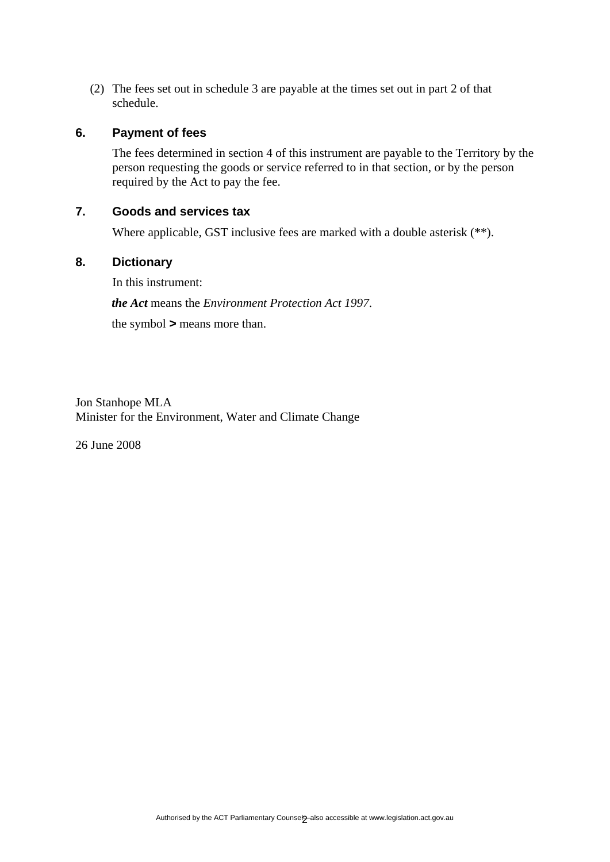(2) The fees set out in schedule 3 are payable at the times set out in part 2 of that schedule.

#### **6. Payment of fees**

The fees determined in section 4 of this instrument are payable to the Territory by the person requesting the goods or service referred to in that section, or by the person required by the Act to pay the fee.

### **7. Goods and services tax**

Where applicable, GST inclusive fees are marked with a double asterisk (\*\*).

#### **8. Dictionary**

In this instrument: *the Act* means the *Environment Protection Act 1997*. the symbol *>* means more than.

Jon Stanhope MLA Minister for the Environment, Water and Climate Change

26 June 2008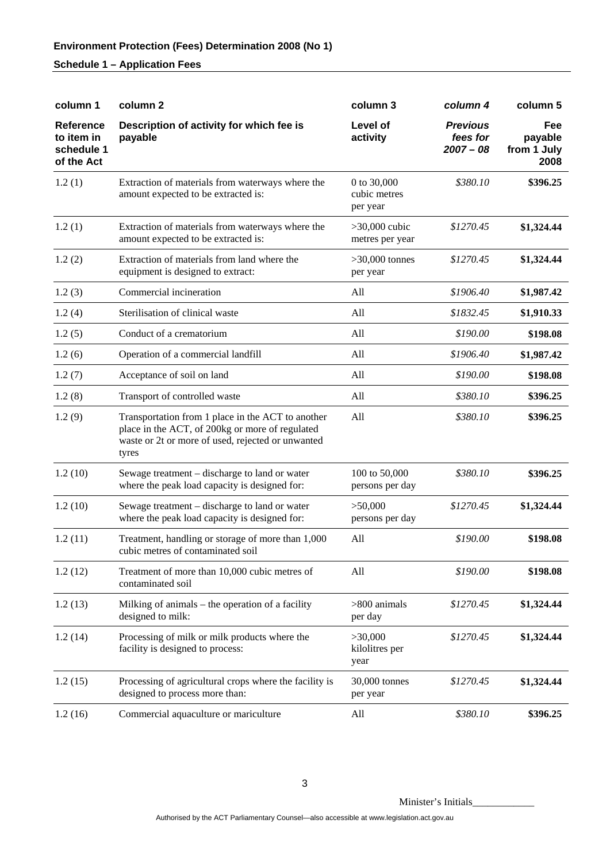# **Environment Protection (Fees) Determination 2008 (No 1)**

# **Schedule 1 – Application Fees**

| column 1                                                   | column 2                                                                                                                                                           | column 3                                | column 4                                   | column 5                              |
|------------------------------------------------------------|--------------------------------------------------------------------------------------------------------------------------------------------------------------------|-----------------------------------------|--------------------------------------------|---------------------------------------|
| <b>Reference</b><br>to item in<br>schedule 1<br>of the Act | Description of activity for which fee is<br>payable                                                                                                                | Level of<br>activity                    | <b>Previous</b><br>fees for<br>$2007 - 08$ | Fee<br>payable<br>from 1 July<br>2008 |
| 1.2(1)                                                     | Extraction of materials from waterways where the<br>amount expected to be extracted is:                                                                            | 0 to 30,000<br>cubic metres<br>per year | \$380.10                                   | \$396.25                              |
| 1.2(1)                                                     | Extraction of materials from waterways where the<br>amount expected to be extracted is:                                                                            | $>30,000$ cubic<br>metres per year      | \$1270.45                                  | \$1,324.44                            |
| 1.2(2)                                                     | Extraction of materials from land where the<br>equipment is designed to extract:                                                                                   | $>30,000$ tonnes<br>per year            | \$1270.45                                  | \$1,324.44                            |
| 1.2(3)                                                     | Commercial incineration                                                                                                                                            | All                                     | \$1906.40                                  | \$1,987.42                            |
| 1.2(4)                                                     | Sterilisation of clinical waste                                                                                                                                    | All                                     | \$1832.45                                  | \$1,910.33                            |
| 1.2(5)                                                     | Conduct of a crematorium                                                                                                                                           | All                                     | \$190.00                                   | \$198.08                              |
| 1.2(6)                                                     | Operation of a commercial landfill                                                                                                                                 | All                                     | \$1906.40                                  | \$1,987.42                            |
| 1.2(7)                                                     | Acceptance of soil on land                                                                                                                                         | All                                     | \$190.00                                   | \$198.08                              |
| 1.2(8)                                                     | Transport of controlled waste                                                                                                                                      | All                                     | \$380.10                                   | \$396.25                              |
| 1.2(9)                                                     | Transportation from 1 place in the ACT to another<br>place in the ACT, of 200kg or more of regulated<br>waste or 2t or more of used, rejected or unwanted<br>tyres | All                                     | \$380.10                                   | \$396.25                              |
| 1.2(10)                                                    | Sewage treatment – discharge to land or water<br>where the peak load capacity is designed for:                                                                     | 100 to 50,000<br>persons per day        | \$380.10                                   | \$396.25                              |
| 1.2(10)                                                    | Sewage treatment – discharge to land or water<br>where the peak load capacity is designed for:                                                                     | >50,000<br>persons per day              | \$1270.45                                  | \$1,324.44                            |
| 1.2(11)                                                    | Treatment, handling or storage of more than 1,000<br>cubic metres of contaminated soil                                                                             | All                                     | \$190.00                                   | \$198.08                              |
| 1.2(12)                                                    | Treatment of more than 10,000 cubic metres of<br>contaminated soil                                                                                                 | All                                     | \$190.00                                   | \$198.08                              |
| 1.2(13)                                                    | Milking of animals $-$ the operation of a facility<br>designed to milk:                                                                                            | $>800$ animals<br>per day               | \$1270.45                                  | \$1,324.44                            |
| 1.2(14)                                                    | Processing of milk or milk products where the<br>facility is designed to process:                                                                                  | >30,000<br>kilolitres per<br>year       | \$1270.45                                  | \$1,324.44                            |
| 1.2(15)                                                    | Processing of agricultural crops where the facility is<br>designed to process more than:                                                                           | 30,000 tonnes<br>per year               | \$1270.45                                  | \$1,324.44                            |
| 1.2(16)                                                    | Commercial aquaculture or mariculture                                                                                                                              | All                                     | \$380.10                                   | \$396.25                              |

Minister's Initials\_\_\_\_\_\_\_\_\_\_\_\_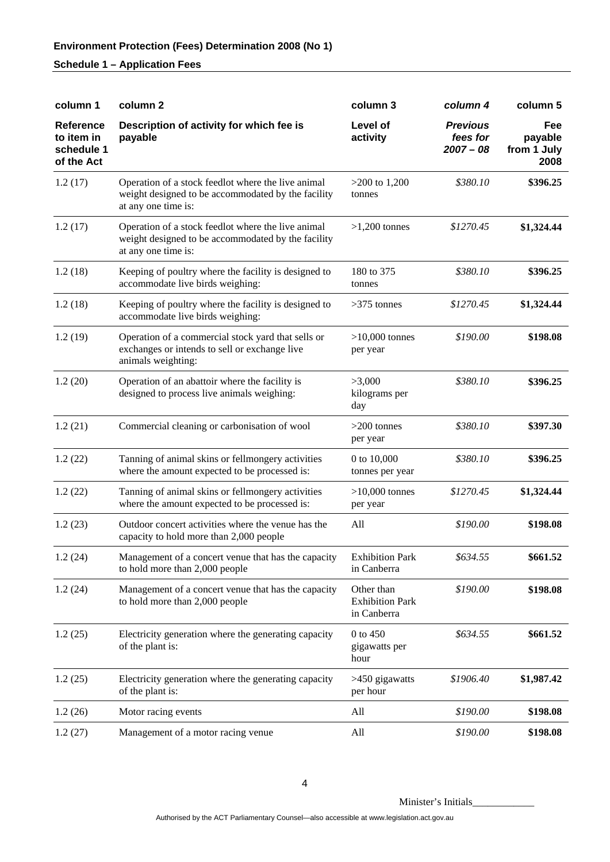# **Schedule 1 – Application Fees**

| column 1                                                   | column <sub>2</sub>                                                                                                             | column 3                                            | column 4                                   | column 5                              |
|------------------------------------------------------------|---------------------------------------------------------------------------------------------------------------------------------|-----------------------------------------------------|--------------------------------------------|---------------------------------------|
| <b>Reference</b><br>to item in<br>schedule 1<br>of the Act | Description of activity for which fee is<br>payable                                                                             | Level of<br>activity                                | <b>Previous</b><br>fees for<br>$2007 - 08$ | Fee<br>payable<br>from 1 July<br>2008 |
| 1.2(17)                                                    | Operation of a stock feedlot where the live animal<br>weight designed to be accommodated by the facility<br>at any one time is: | $>200$ to 1,200<br>tonnes                           | \$380.10                                   | \$396.25                              |
| 1.2(17)                                                    | Operation of a stock feedlot where the live animal<br>weight designed to be accommodated by the facility<br>at any one time is: | $>1,200$ tonnes                                     | \$1270.45                                  | \$1,324.44                            |
| 1.2(18)                                                    | Keeping of poultry where the facility is designed to<br>accommodate live birds weighing:                                        | 180 to 375<br>tonnes                                | \$380.10                                   | \$396.25                              |
| 1.2(18)                                                    | Keeping of poultry where the facility is designed to<br>accommodate live birds weighing:                                        | $>375$ tonnes                                       | \$1270.45                                  | \$1,324.44                            |
| 1.2(19)                                                    | Operation of a commercial stock yard that sells or<br>exchanges or intends to sell or exchange live<br>animals weighting:       | $>10,000$ tonnes<br>per year                        | \$190.00                                   | \$198.08                              |
| 1.2(20)                                                    | Operation of an abattoir where the facility is<br>designed to process live animals weighing:                                    | >3,000<br>kilograms per<br>day                      | \$380.10                                   | \$396.25                              |
| 1.2(21)                                                    | Commercial cleaning or carbonisation of wool                                                                                    | $>200$ tonnes<br>per year                           | \$380.10                                   | \$397.30                              |
| 1.2(22)                                                    | Tanning of animal skins or fellmongery activities<br>where the amount expected to be processed is:                              | 0 to 10,000<br>tonnes per year                      | \$380.10                                   | \$396.25                              |
| 1.2(22)                                                    | Tanning of animal skins or fellmongery activities<br>where the amount expected to be processed is:                              | $>10,000$ tonnes<br>per year                        | \$1270.45                                  | \$1,324.44                            |
| 1.2(23)                                                    | Outdoor concert activities where the venue has the<br>capacity to hold more than 2,000 people                                   | All                                                 | \$190.00                                   | \$198.08                              |
| 1.2(24)                                                    | Management of a concert venue that has the capacity<br>to hold more than 2,000 people                                           | <b>Exhibition Park</b><br>in Canberra               | \$634.55                                   | \$661.52                              |
| 1.2(24)                                                    | Management of a concert venue that has the capacity<br>to hold more than 2,000 people                                           | Other than<br><b>Exhibition Park</b><br>in Canberra | \$190.00                                   | \$198.08                              |
| 1.2(25)                                                    | Electricity generation where the generating capacity<br>of the plant is:                                                        | 0 to 450<br>gigawatts per<br>hour                   | \$634.55                                   | \$661.52                              |
| 1.2(25)                                                    | Electricity generation where the generating capacity<br>of the plant is:                                                        | >450 gigawatts<br>per hour                          | \$1906.40                                  | \$1,987.42                            |
| 1.2(26)                                                    | Motor racing events                                                                                                             | All                                                 | \$190.00                                   | \$198.08                              |
| 1.2(27)                                                    | Management of a motor racing venue                                                                                              | All                                                 | \$190.00                                   | \$198.08                              |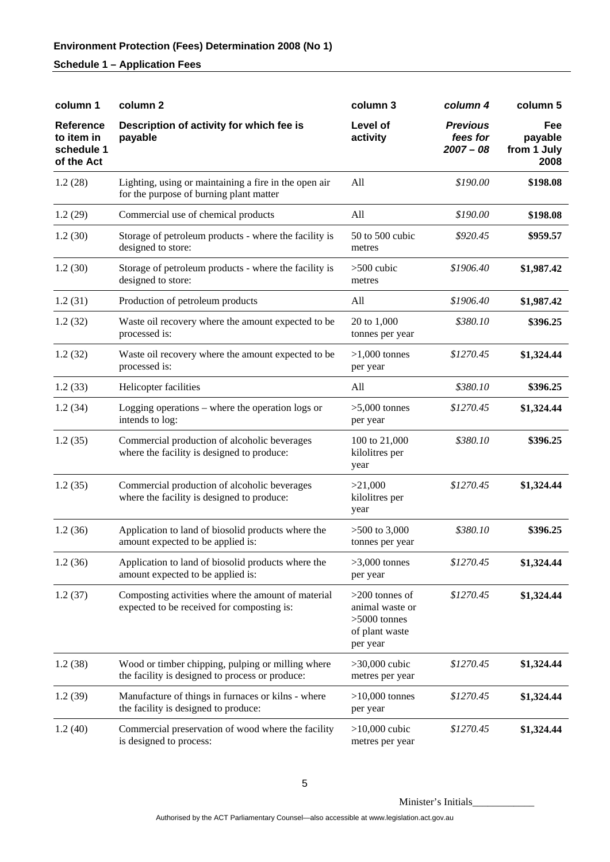# **Schedule 1 – Application Fees**

| column 1                                                   | column <sub>2</sub>                                                                                  | column 3                                                                            | column 4                                   | column 5                              |
|------------------------------------------------------------|------------------------------------------------------------------------------------------------------|-------------------------------------------------------------------------------------|--------------------------------------------|---------------------------------------|
| <b>Reference</b><br>to item in<br>schedule 1<br>of the Act | Description of activity for which fee is<br>payable                                                  | Level of<br>activity                                                                | <b>Previous</b><br>fees for<br>$2007 - 08$ | Fee<br>payable<br>from 1 July<br>2008 |
| 1.2(28)                                                    | Lighting, using or maintaining a fire in the open air<br>for the purpose of burning plant matter     | All                                                                                 | \$190.00                                   | \$198.08                              |
| 1.2(29)                                                    | Commercial use of chemical products                                                                  | All                                                                                 | \$190.00                                   | \$198.08                              |
| 1.2(30)                                                    | Storage of petroleum products - where the facility is<br>designed to store:                          | 50 to 500 cubic<br>metres                                                           | \$920.45                                   | \$959.57                              |
| 1.2(30)                                                    | Storage of petroleum products - where the facility is<br>designed to store:                          | $>500$ cubic<br>metres                                                              | \$1906.40                                  | \$1,987.42                            |
| 1.2(31)                                                    | Production of petroleum products                                                                     | All                                                                                 | \$1906.40                                  | \$1,987.42                            |
| 1.2(32)                                                    | Waste oil recovery where the amount expected to be<br>processed is:                                  | 20 to 1,000<br>tonnes per year                                                      | \$380.10                                   | \$396.25                              |
| 1.2(32)                                                    | Waste oil recovery where the amount expected to be<br>processed is:                                  | $>1,000$ tonnes<br>per year                                                         | \$1270.45                                  | \$1,324.44                            |
| 1.2(33)                                                    | Helicopter facilities                                                                                | All                                                                                 | \$380.10                                   | \$396.25                              |
| 1.2(34)                                                    | Logging operations – where the operation logs or<br>intends to log:                                  | $>5,000$ tonnes<br>per year                                                         | \$1270.45                                  | \$1,324.44                            |
| 1.2(35)                                                    | Commercial production of alcoholic beverages<br>where the facility is designed to produce:           | 100 to 21,000<br>kilolitres per<br>year                                             | \$380.10                                   | \$396.25                              |
| 1.2(35)                                                    | Commercial production of alcoholic beverages<br>where the facility is designed to produce:           | >21,000<br>kilolitres per<br>year                                                   | \$1270.45                                  | \$1,324.44                            |
| 1.2(36)                                                    | Application to land of biosolid products where the<br>amount expected to be applied is:              | $>500$ to 3,000<br>tonnes per year                                                  | \$380.10                                   | \$396.25                              |
| 1.2(36)                                                    | Application to land of biosolid products where the<br>amount expected to be applied is:              | $>3,000$ tonnes<br>per year                                                         | \$1270.45                                  | \$1,324.44                            |
| 1.2(37)                                                    | Composting activities where the amount of material<br>expected to be received for composting is:     | $>200$ tonnes of<br>animal waste or<br>$>5000$ tonnes<br>of plant waste<br>per year | \$1270.45                                  | \$1,324.44                            |
| 1.2(38)                                                    | Wood or timber chipping, pulping or milling where<br>the facility is designed to process or produce: | $>30,000$ cubic<br>metres per year                                                  | \$1270.45                                  | \$1,324.44                            |
| 1.2(39)                                                    | Manufacture of things in furnaces or kilns - where<br>the facility is designed to produce:           | $>10,000$ tonnes<br>per year                                                        | \$1270.45                                  | \$1,324.44                            |
| 1.2(40)                                                    | Commercial preservation of wood where the facility<br>is designed to process:                        | $>10,000$ cubic<br>metres per year                                                  | \$1270.45                                  | \$1,324.44                            |

Minister's Initials\_\_\_\_\_\_\_\_\_\_\_\_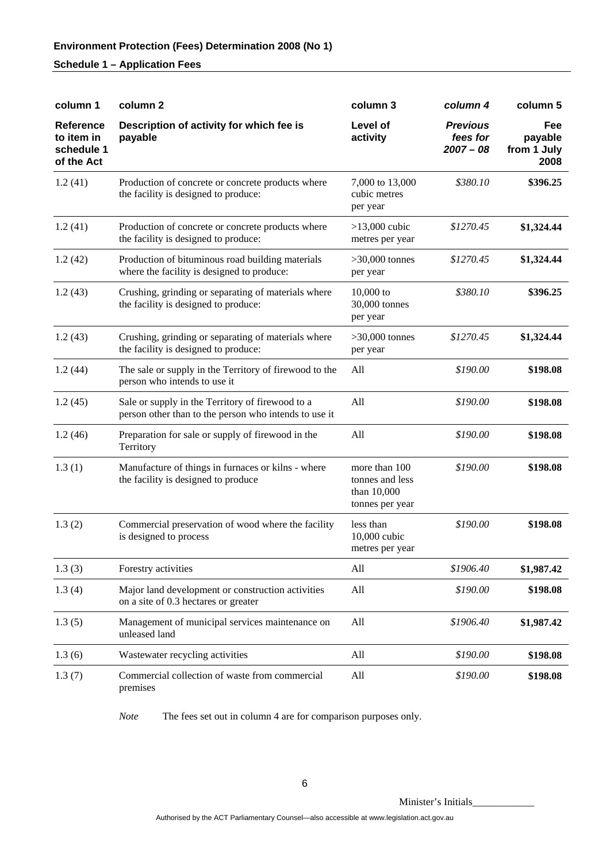# **Environment Protection (Fees) Determination 2008 (No 1)**

#### **Schedule 1 – Application Fees**

| column 1                                                   | column <sub>2</sub>                                                                                       | column 3                                                           | column 4                                   | column 5                              |
|------------------------------------------------------------|-----------------------------------------------------------------------------------------------------------|--------------------------------------------------------------------|--------------------------------------------|---------------------------------------|
| <b>Reference</b><br>to item in<br>schedule 1<br>of the Act | Description of activity for which fee is<br>payable                                                       | Level of<br>activity                                               | <b>Previous</b><br>fees for<br>$2007 - 08$ | Fee<br>payable<br>from 1 July<br>2008 |
| 1.2(41)                                                    | Production of concrete or concrete products where<br>the facility is designed to produce:                 | 7,000 to 13,000<br>cubic metres<br>per year                        | \$380.10                                   | \$396.25                              |
| 1.2(41)                                                    | Production of concrete or concrete products where<br>the facility is designed to produce:                 | $>13,000$ cubic<br>metres per year                                 | \$1270.45                                  | \$1,324.44                            |
| 1.2(42)                                                    | Production of bituminous road building materials<br>where the facility is designed to produce:            | $>30,000$ tonnes<br>per year                                       | \$1270.45                                  | \$1,324.44                            |
| 1.2(43)                                                    | Crushing, grinding or separating of materials where<br>the facility is designed to produce:               | $10,000$ to<br>30,000 tonnes<br>per year                           | \$380.10                                   | \$396.25                              |
| 1.2(43)                                                    | Crushing, grinding or separating of materials where<br>the facility is designed to produce:               | $>30,000$ tonnes<br>per year                                       | \$1270.45                                  | \$1,324.44                            |
| 1.2(44)                                                    | The sale or supply in the Territory of firewood to the<br>person who intends to use it                    | All                                                                | \$190.00                                   | \$198.08                              |
| 1.2(45)                                                    | Sale or supply in the Territory of firewood to a<br>person other than to the person who intends to use it | All                                                                | \$190.00                                   | \$198.08                              |
| 1.2(46)                                                    | Preparation for sale or supply of firewood in the<br>Territory                                            | All                                                                | \$190.00                                   | \$198.08                              |
| 1.3(1)                                                     | Manufacture of things in furnaces or kilns - where<br>the facility is designed to produce                 | more than 100<br>tonnes and less<br>than 10,000<br>tonnes per year | \$190.00                                   | \$198.08                              |
| 1.3(2)                                                     | Commercial preservation of wood where the facility<br>is designed to process                              | less than<br>10,000 cubic<br>metres per year                       | \$190.00                                   | \$198.08                              |
| 1.3(3)                                                     | Forestry activities                                                                                       | All                                                                | \$1906.40                                  | \$1,987.42                            |
| 1.3(4)                                                     | Major land development or construction activities<br>on a site of 0.3 hectares or greater                 | All                                                                | \$190.00                                   | \$198.08                              |
| 1.3(5)                                                     | Management of municipal services maintenance on<br>unleased land                                          | All                                                                | \$1906.40                                  | \$1,987.42                            |
| 1.3(6)                                                     | Wastewater recycling activities                                                                           | All                                                                | \$190.00                                   | \$198.08                              |
| 1.3(7)                                                     | Commercial collection of waste from commercial<br>premises                                                | All                                                                | \$190.00                                   | \$198.08                              |

*Note* The fees set out in column 4 are for comparison purposes only.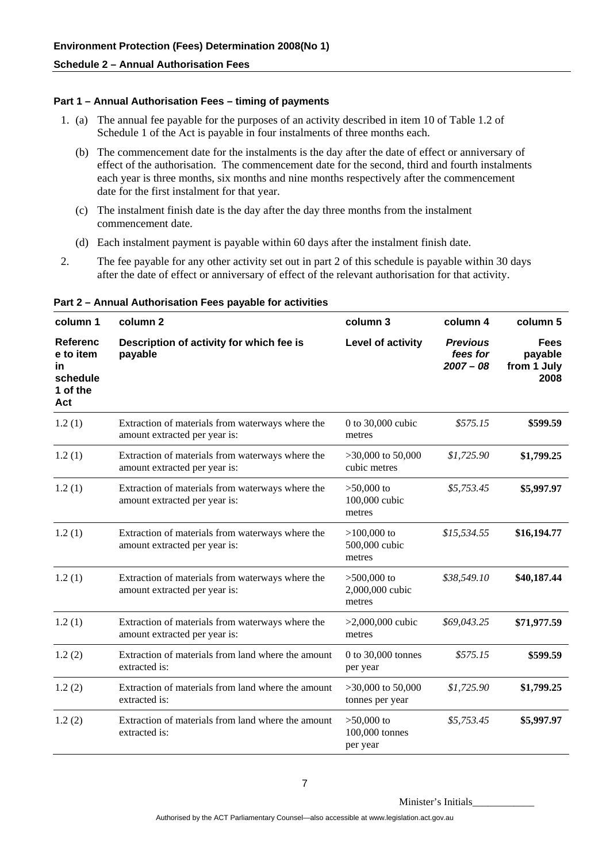#### **Part 1 – Annual Authorisation Fees – timing of payments**

- 1. (a) The annual fee payable for the purposes of an activity described in item 10 of Table 1.2 of Schedule 1 of the Act is payable in four instalments of three months each.
	- (b) The commencement date for the instalments is the day after the date of effect or anniversary of effect of the authorisation. The commencement date for the second, third and fourth instalments each year is three months, six months and nine months respectively after the commencement date for the first instalment for that year.
	- (c) The instalment finish date is the day after the day three months from the instalment commencement date.
	- (d) Each instalment payment is payable within 60 days after the instalment finish date.
- 2. The fee payable for any other activity set out in part 2 of this schedule is payable within 30 days after the date of effect or anniversary of effect of the relevant authorisation for that activity.

| column 1                                                                 | column 2                                                                          | column 3                                   | column 4                                   | column 5                                      |
|--------------------------------------------------------------------------|-----------------------------------------------------------------------------------|--------------------------------------------|--------------------------------------------|-----------------------------------------------|
| <b>Referenc</b><br>e to item<br><b>in</b><br>schedule<br>1 of the<br>Act | Description of activity for which fee is<br>payable                               | Level of activity                          | <b>Previous</b><br>fees for<br>$2007 - 08$ | <b>Fees</b><br>payable<br>from 1 July<br>2008 |
| 1.2(1)                                                                   | Extraction of materials from waterways where the<br>amount extracted per year is: | 0 to $30,000$ cubic<br>metres              | \$575.15                                   | \$599.59                                      |
| 1.2(1)                                                                   | Extraction of materials from waterways where the<br>amount extracted per year is: | $>30,000$ to 50,000<br>cubic metres        | \$1,725.90                                 | \$1,799.25                                    |
| 1.2(1)                                                                   | Extraction of materials from waterways where the<br>amount extracted per year is: | $>50,000$ to<br>100,000 cubic<br>metres    | \$5,753.45                                 | \$5,997.97                                    |
| 1.2(1)                                                                   | Extraction of materials from waterways where the<br>amount extracted per year is: | $>100,000$ to<br>500,000 cubic<br>metres   | \$15,534.55                                | \$16,194.77                                   |
| 1.2(1)                                                                   | Extraction of materials from waterways where the<br>amount extracted per year is: | $>500,000$ to<br>2,000,000 cubic<br>metres | \$38,549.10                                | \$40,187.44                                   |
| 1.2(1)                                                                   | Extraction of materials from waterways where the<br>amount extracted per year is: | $>2,000,000$ cubic<br>metres               | \$69,043.25                                | \$71,977.59                                   |
| 1.2(2)                                                                   | Extraction of materials from land where the amount<br>extracted is:               | 0 to 30,000 tonnes<br>per year             | \$575.15                                   | \$599.59                                      |
| 1.2(2)                                                                   | Extraction of materials from land where the amount<br>extracted is:               | $>30,000$ to 50,000<br>tonnes per year     | \$1,725.90                                 | \$1,799.25                                    |
| 1.2(2)                                                                   | Extraction of materials from land where the amount<br>extracted is:               | $>50,000$ to<br>100,000 tonnes<br>per year | \$5,753.45                                 | \$5,997.97                                    |

**Part 2 – Annual Authorisation Fees payable for activities**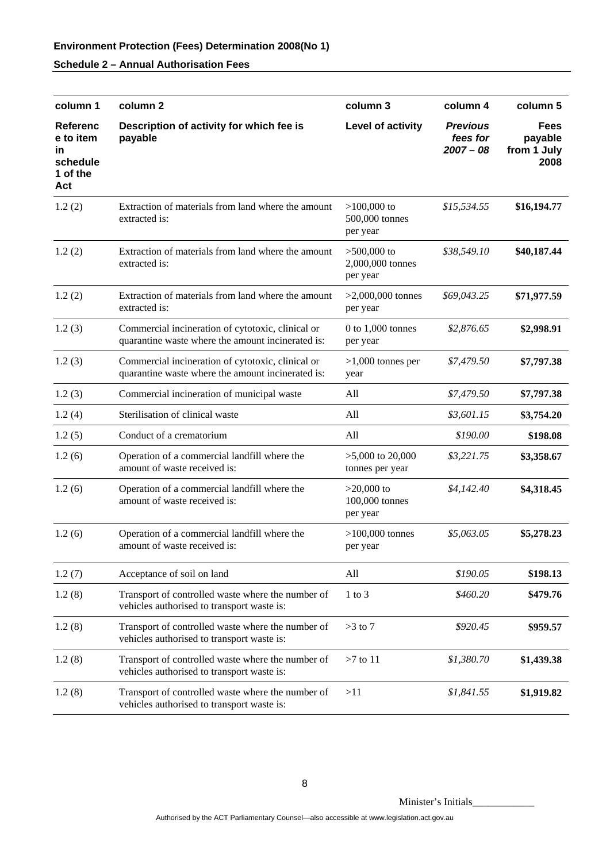| column 1                                                          | column <sub>2</sub>                                                                                    | column 3                                      | column 4                                   | column 5                                      |
|-------------------------------------------------------------------|--------------------------------------------------------------------------------------------------------|-----------------------------------------------|--------------------------------------------|-----------------------------------------------|
| <b>Referenc</b><br>e to item<br>in<br>schedule<br>1 of the<br>Act | Description of activity for which fee is<br>payable                                                    | Level of activity                             | <b>Previous</b><br>fees for<br>$2007 - 08$ | <b>Fees</b><br>payable<br>from 1 July<br>2008 |
| 1.2(2)                                                            | Extraction of materials from land where the amount<br>extracted is:                                    | $>100,000$ to<br>500,000 tonnes<br>per year   | \$15,534.55                                | \$16,194.77                                   |
| 1.2(2)                                                            | Extraction of materials from land where the amount<br>extracted is:                                    | $>500,000$ to<br>2,000,000 tonnes<br>per year | \$38,549.10                                | \$40,187.44                                   |
| 1.2(2)                                                            | Extraction of materials from land where the amount<br>extracted is:                                    | $>2,000,000$ tonnes<br>per year               | \$69,043.25                                | \$71,977.59                                   |
| 1.2(3)                                                            | Commercial incineration of cytotoxic, clinical or<br>quarantine waste where the amount incinerated is: | $0$ to $1,000$ tonnes<br>per year             | \$2,876.65                                 | \$2,998.91                                    |
| 1.2(3)                                                            | Commercial incineration of cytotoxic, clinical or<br>quarantine waste where the amount incinerated is: | $>1,000$ tonnes per<br>year                   | \$7,479.50                                 | \$7,797.38                                    |
| 1.2(3)                                                            | Commercial incineration of municipal waste                                                             | All                                           | \$7,479.50                                 | \$7,797.38                                    |
| 1.2(4)                                                            | Sterilisation of clinical waste                                                                        | All                                           | \$3,601.15                                 | \$3,754.20                                    |
| 1.2(5)                                                            | Conduct of a crematorium                                                                               | All                                           | \$190.00                                   | \$198.08                                      |
| 1.2(6)                                                            | Operation of a commercial landfill where the<br>amount of waste received is:                           | $>5,000$ to 20,000<br>tonnes per year         | \$3,221.75                                 | \$3,358.67                                    |
| 1.2(6)                                                            | Operation of a commercial landfill where the<br>amount of waste received is:                           | $>20,000$ to<br>100,000 tonnes<br>per year    | \$4,142.40                                 | \$4,318.45                                    |
| 1.2(6)                                                            | Operation of a commercial landfill where the<br>amount of waste received is:                           | $>100,000$ tonnes<br>per year                 | \$5,063.05                                 | \$5,278.23                                    |
| 1.2(7)                                                            | Acceptance of soil on land                                                                             | All                                           | \$190.05                                   | \$198.13                                      |
| 1.2(8)                                                            | Transport of controlled waste where the number of<br>vehicles authorised to transport waste is:        | $1$ to $3$                                    | \$460.20                                   | \$479.76                                      |
| 1.2(8)                                                            | Transport of controlled waste where the number of<br>vehicles authorised to transport waste is:        | $>3$ to 7                                     | \$920.45                                   | \$959.57                                      |
| 1.2(8)                                                            | Transport of controlled waste where the number of<br>vehicles authorised to transport waste is:        | $>7$ to 11                                    | \$1,380.70                                 | \$1,439.38                                    |
| 1.2(8)                                                            | Transport of controlled waste where the number of<br>vehicles authorised to transport waste is:        | >11                                           | \$1,841.55                                 | \$1,919.82                                    |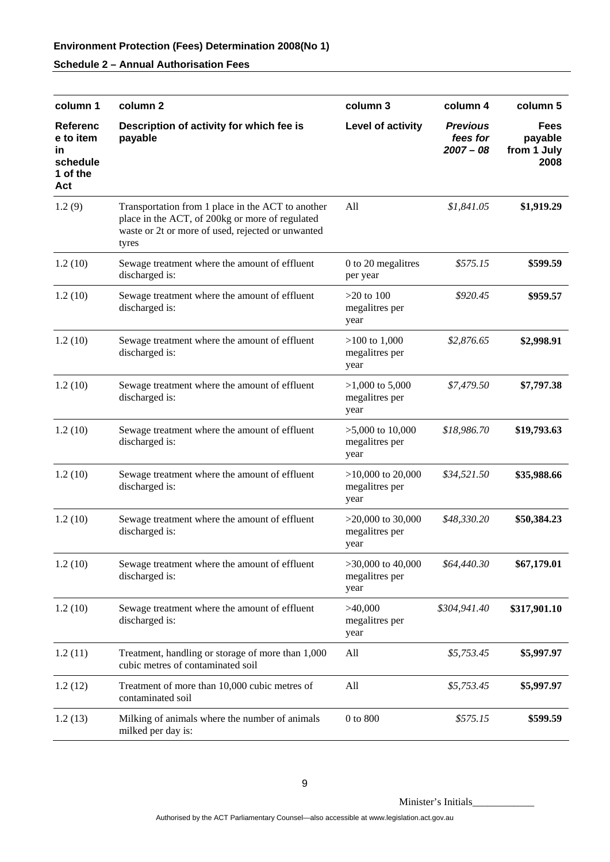# **Environment Protection (Fees) Determination 2008(No 1)**

# **Schedule 2 – Annual Authorisation Fees**

| column 1                                                          | column <sub>2</sub>                                                                                                                                                | column 3                                        | column 4                                   | column 5                                      |
|-------------------------------------------------------------------|--------------------------------------------------------------------------------------------------------------------------------------------------------------------|-------------------------------------------------|--------------------------------------------|-----------------------------------------------|
| <b>Referenc</b><br>e to item<br>in<br>schedule<br>1 of the<br>Act | Description of activity for which fee is<br>payable                                                                                                                | Level of activity                               | <b>Previous</b><br>fees for<br>$2007 - 08$ | <b>Fees</b><br>payable<br>from 1 July<br>2008 |
| 1.2(9)                                                            | Transportation from 1 place in the ACT to another<br>place in the ACT, of 200kg or more of regulated<br>waste or 2t or more of used, rejected or unwanted<br>tyres | All                                             | \$1,841.05                                 | \$1,919.29                                    |
| 1.2(10)                                                           | Sewage treatment where the amount of effluent<br>discharged is:                                                                                                    | 0 to 20 megalitres<br>per year                  | \$575.15                                   | \$599.59                                      |
| 1.2(10)                                                           | Sewage treatment where the amount of effluent<br>discharged is:                                                                                                    | $>20$ to 100<br>megalitres per<br>year          | \$920.45                                   | \$959.57                                      |
| 1.2(10)                                                           | Sewage treatment where the amount of effluent<br>discharged is:                                                                                                    | $>100$ to 1,000<br>megalitres per<br>year       | \$2,876.65                                 | \$2,998.91                                    |
| 1.2(10)                                                           | Sewage treatment where the amount of effluent<br>discharged is:                                                                                                    | $>1,000$ to 5,000<br>megalitres per<br>year     | \$7,479.50                                 | \$7,797.38                                    |
| 1.2(10)                                                           | Sewage treatment where the amount of effluent<br>discharged is:                                                                                                    | $>5,000$ to 10,000<br>megalitres per<br>year    | \$18,986.70                                | \$19,793.63                                   |
| 1.2(10)                                                           | Sewage treatment where the amount of effluent<br>discharged is:                                                                                                    | $>10,000$ to 20,000<br>megalitres per<br>year   | \$34,521.50                                | \$35,988.66                                   |
| 1.2(10)                                                           | Sewage treatment where the amount of effluent<br>discharged is:                                                                                                    | $>20,000$ to 30,000<br>megalitres per<br>year   | \$48,330.20                                | \$50,384.23                                   |
| 1.2(10)                                                           | Sewage treatment where the amount of effluent<br>discharged is:                                                                                                    | $>30,000$ to $40,000$<br>megalitres per<br>year | \$64,440.30                                | \$67,179.01                                   |
| 1.2(10)                                                           | Sewage treatment where the amount of effluent<br>discharged is:                                                                                                    | >40,000<br>megalitres per<br>year               | \$304,941.40                               | \$317,901.10                                  |
| 1.2(11)                                                           | Treatment, handling or storage of more than 1,000<br>cubic metres of contaminated soil                                                                             | All                                             | \$5,753.45                                 | \$5,997.97                                    |
| 1.2(12)                                                           | Treatment of more than 10,000 cubic metres of<br>contaminated soil                                                                                                 | All                                             | \$5,753.45                                 | \$5,997.97                                    |
| 1.2(13)                                                           | Milking of animals where the number of animals<br>milked per day is:                                                                                               | $0$ to $800$                                    | \$575.15                                   | \$599.59                                      |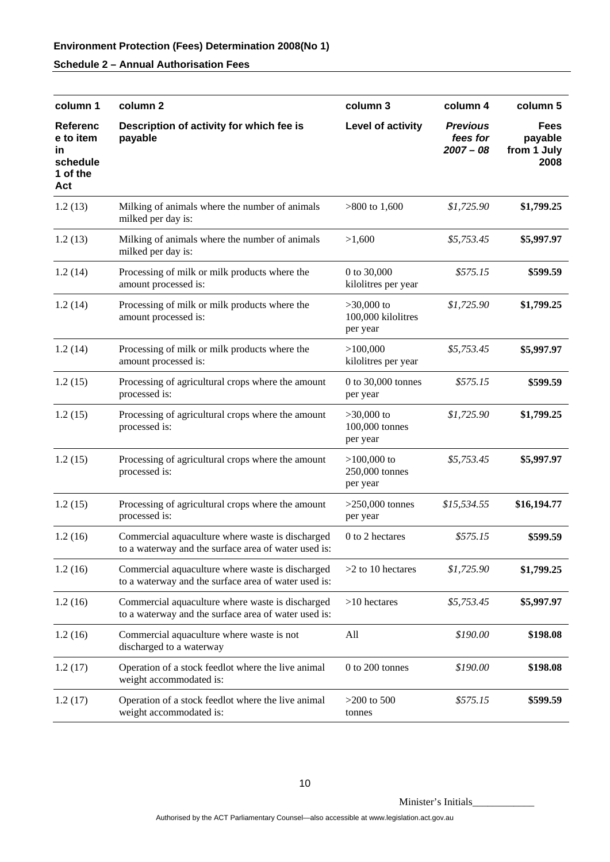| column 1                                                          | column 2                                                                                                 | column 3                                       | column 4                                   | column 5                               |
|-------------------------------------------------------------------|----------------------------------------------------------------------------------------------------------|------------------------------------------------|--------------------------------------------|----------------------------------------|
| <b>Referenc</b><br>e to item<br>in<br>schedule<br>1 of the<br>Act | Description of activity for which fee is<br>payable                                                      | Level of activity                              | <b>Previous</b><br>fees for<br>$2007 - 08$ | Fees<br>payable<br>from 1 July<br>2008 |
| 1.2(13)                                                           | Milking of animals where the number of animals<br>milked per day is:                                     | $>800$ to 1,600                                | \$1,725.90                                 | \$1,799.25                             |
| 1.2(13)                                                           | Milking of animals where the number of animals<br>milked per day is:                                     | >1,600                                         | \$5,753.45                                 | \$5,997.97                             |
| 1.2(14)                                                           | Processing of milk or milk products where the<br>amount processed is:                                    | 0 to 30,000<br>kilolitres per year             | \$575.15                                   | \$599.59                               |
| 1.2(14)                                                           | Processing of milk or milk products where the<br>amount processed is:                                    | $>30,000$ to<br>100,000 kilolitres<br>per year | \$1,725.90                                 | \$1,799.25                             |
| 1.2(14)                                                           | Processing of milk or milk products where the<br>amount processed is:                                    | >100,000<br>kilolitres per year                | \$5,753.45                                 | \$5,997.97                             |
| 1.2(15)                                                           | Processing of agricultural crops where the amount<br>processed is:                                       | 0 to 30,000 tonnes<br>per year                 | \$575.15                                   | \$599.59                               |
| 1.2(15)                                                           | Processing of agricultural crops where the amount<br>processed is:                                       | $>30,000$ to<br>100,000 tonnes<br>per year     | \$1,725.90                                 | \$1,799.25                             |
| 1.2(15)                                                           | Processing of agricultural crops where the amount<br>processed is:                                       | $>100,000$ to<br>250,000 tonnes<br>per year    | \$5,753.45                                 | \$5,997.97                             |
| 1.2(15)                                                           | Processing of agricultural crops where the amount<br>processed is:                                       | $>250,000$ tonnes<br>per year                  | \$15,534.55                                | \$16,194.77                            |
| 1.2(16)                                                           | Commercial aquaculture where waste is discharged<br>to a waterway and the surface area of water used is: | 0 to 2 hectares                                | \$575.15                                   | \$599.59                               |
| 1.2(16)                                                           | Commercial aquaculture where waste is discharged<br>to a waterway and the surface area of water used is: | $>2$ to 10 hectares                            | \$1,725.90                                 | \$1,799.25                             |
| 1.2(16)                                                           | Commercial aquaculture where waste is discharged<br>to a waterway and the surface area of water used is: | $>10$ hectares                                 | \$5,753.45                                 | \$5,997.97                             |
| 1.2(16)                                                           | Commercial aquaculture where waste is not<br>discharged to a waterway                                    | All                                            | \$190.00                                   | \$198.08                               |
| 1.2(17)                                                           | Operation of a stock feedlot where the live animal<br>weight accommodated is:                            | $0$ to $200$ tonnes                            | \$190.00                                   | \$198.08                               |
| 1.2(17)                                                           | Operation of a stock feedlot where the live animal<br>weight accommodated is:                            | $>200$ to 500<br>tonnes                        | \$575.15                                   | \$599.59                               |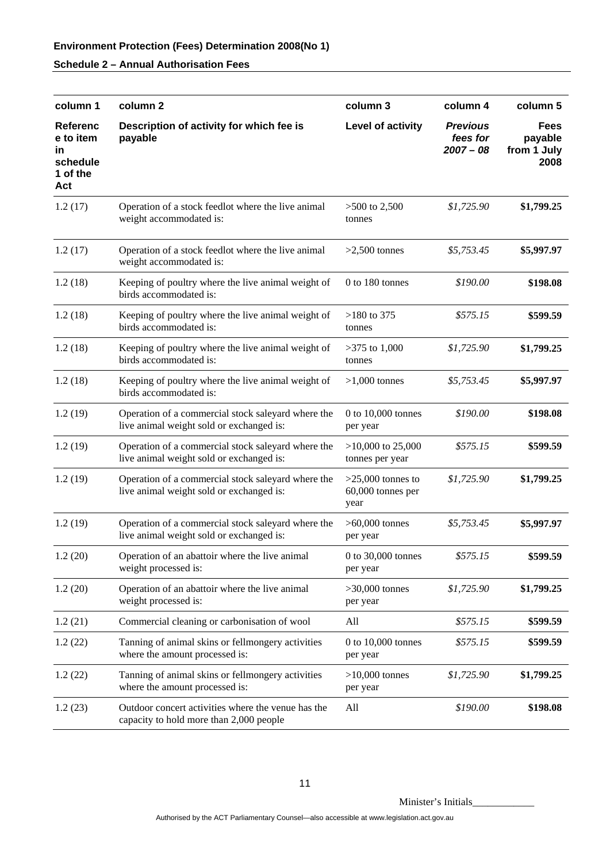| column 1                                                          | column <sub>2</sub>                                                                            | column 3                                         | column 4                                   | column 5                                      |
|-------------------------------------------------------------------|------------------------------------------------------------------------------------------------|--------------------------------------------------|--------------------------------------------|-----------------------------------------------|
| <b>Referenc</b><br>e to item<br>in<br>schedule<br>1 of the<br>Act | Description of activity for which fee is<br>payable                                            | Level of activity                                | <b>Previous</b><br>fees for<br>$2007 - 08$ | <b>Fees</b><br>payable<br>from 1 July<br>2008 |
| 1.2(17)                                                           | Operation of a stock feedlot where the live animal<br>weight accommodated is:                  | $>500$ to 2,500<br>tonnes                        | \$1,725.90                                 | \$1,799.25                                    |
| 1.2(17)                                                           | Operation of a stock feedlot where the live animal<br>weight accommodated is:                  | $>2,500$ tonnes                                  | \$5,753.45                                 | \$5,997.97                                    |
| 1.2(18)                                                           | Keeping of poultry where the live animal weight of<br>birds accommodated is:                   | 0 to 180 tonnes                                  | \$190.00                                   | \$198.08                                      |
| 1.2(18)                                                           | Keeping of poultry where the live animal weight of<br>birds accommodated is:                   | $>180$ to 375<br>tonnes                          | \$575.15                                   | \$599.59                                      |
| 1.2(18)                                                           | Keeping of poultry where the live animal weight of<br>birds accommodated is:                   | $>375$ to 1,000<br>tonnes                        | \$1,725.90                                 | \$1,799.25                                    |
| 1.2(18)                                                           | Keeping of poultry where the live animal weight of<br>birds accommodated is:                   | $>1,000$ tonnes                                  | \$5,753.45                                 | \$5,997.97                                    |
| 1.2(19)                                                           | Operation of a commercial stock saleyard where the<br>live animal weight sold or exchanged is: | 0 to 10,000 tonnes<br>per year                   | \$190.00                                   | \$198.08                                      |
| 1.2(19)                                                           | Operation of a commercial stock saleyard where the<br>live animal weight sold or exchanged is: | $>10,000$ to 25,000<br>tonnes per year           | \$575.15                                   | \$599.59                                      |
| 1.2(19)                                                           | Operation of a commercial stock saleyard where the<br>live animal weight sold or exchanged is: | $>25,000$ tonnes to<br>60,000 tonnes per<br>year | \$1,725.90                                 | \$1,799.25                                    |
| 1.2(19)                                                           | Operation of a commercial stock saleyard where the<br>live animal weight sold or exchanged is: | $>60,000$ tonnes<br>per year                     | \$5,753.45                                 | \$5,997.97                                    |
| 1.2(20)                                                           | Operation of an abattoir where the live animal<br>weight processed is:                         | 0 to 30,000 tonnes<br>per year                   | \$575.15                                   | \$599.59                                      |
| 1.2(20)                                                           | Operation of an abattoir where the live animal<br>weight processed is:                         | $>30,000$ tonnes<br>per year                     | \$1,725.90                                 | \$1,799.25                                    |
| 1.2(21)                                                           | Commercial cleaning or carbonisation of wool                                                   | All                                              | \$575.15                                   | \$599.59                                      |
| 1.2(22)                                                           | Tanning of animal skins or fellmongery activities<br>where the amount processed is:            | $0$ to $10,000$ tonnes<br>per year               | \$575.15                                   | \$599.59                                      |
| 1.2(22)                                                           | Tanning of animal skins or fellmongery activities<br>where the amount processed is:            | $>10,000$ tonnes<br>per year                     | \$1,725.90                                 | \$1,799.25                                    |
| 1.2(23)                                                           | Outdoor concert activities where the venue has the<br>capacity to hold more than 2,000 people  | All                                              | \$190.00                                   | \$198.08                                      |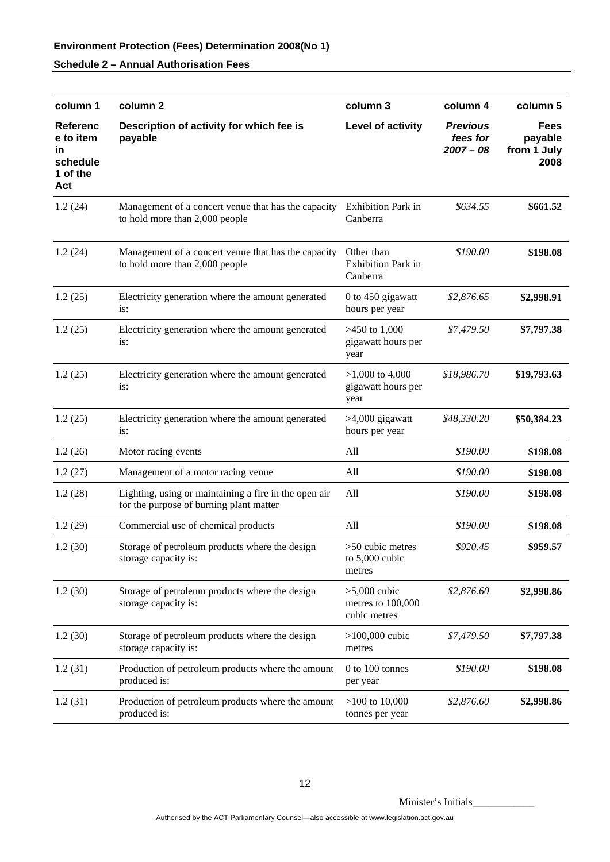| column 1                                                          | column 2                                                                                                 | column 3                                            | column 4                                   | column 5                                      |
|-------------------------------------------------------------------|----------------------------------------------------------------------------------------------------------|-----------------------------------------------------|--------------------------------------------|-----------------------------------------------|
| <b>Referenc</b><br>e to item<br>ın<br>schedule<br>1 of the<br>Act | Description of activity for which fee is<br>payable                                                      | Level of activity                                   | <b>Previous</b><br>fees for<br>$2007 - 08$ | <b>Fees</b><br>payable<br>from 1 July<br>2008 |
| 1.2(24)                                                           | Management of a concert venue that has the capacity Exhibition Park in<br>to hold more than 2,000 people | Canberra                                            | \$634.55                                   | \$661.52                                      |
| 1.2(24)                                                           | Management of a concert venue that has the capacity<br>to hold more than 2,000 people                    | Other than<br><b>Exhibition Park in</b><br>Canberra | \$190.00                                   | \$198.08                                      |
| 1.2(25)                                                           | Electricity generation where the amount generated<br>is:                                                 | 0 to 450 gigawatt<br>hours per year                 | \$2,876.65                                 | \$2,998.91                                    |
| 1.2(25)                                                           | Electricity generation where the amount generated<br>is:                                                 | $>450$ to 1,000<br>gigawatt hours per<br>year       | \$7,479.50                                 | \$7,797.38                                    |
| 1.2(25)                                                           | Electricity generation where the amount generated<br>is:                                                 | $>1,000$ to 4,000<br>gigawatt hours per<br>year     | \$18,986.70                                | \$19,793.63                                   |
| 1.2(25)                                                           | Electricity generation where the amount generated<br>is:                                                 | >4,000 gigawatt<br>hours per year                   | \$48,330.20                                | \$50,384.23                                   |
| 1.2(26)                                                           | Motor racing events                                                                                      | All                                                 | \$190.00                                   | \$198.08                                      |
| 1.2(27)                                                           | Management of a motor racing venue                                                                       | All                                                 | \$190.00                                   | \$198.08                                      |
| 1.2(28)                                                           | Lighting, using or maintaining a fire in the open air<br>for the purpose of burning plant matter         | All                                                 | \$190.00                                   | \$198.08                                      |
| 1.2(29)                                                           | Commercial use of chemical products                                                                      | All                                                 | \$190.00                                   | \$198.08                                      |
| 1.2(30)                                                           | Storage of petroleum products where the design<br>storage capacity is:                                   | $>50$ cubic metres<br>to $5,000$ cubic<br>metres    | \$920.45                                   | \$959.57                                      |
| 1.2(30)                                                           | Storage of petroleum products where the design<br>storage capacity is:                                   | $>5,000$ cubic<br>metres to 100,000<br>cubic metres | \$2,876.60                                 | \$2,998.86                                    |
| 1.2(30)                                                           | Storage of petroleum products where the design<br>storage capacity is:                                   | $>100,000$ cubic<br>metres                          | \$7,479.50                                 | \$7,797.38                                    |
| 1.2(31)                                                           | Production of petroleum products where the amount<br>produced is:                                        | 0 to 100 tonnes<br>per year                         | \$190.00                                   | \$198.08                                      |
| 1.2(31)                                                           | Production of petroleum products where the amount<br>produced is:                                        | $>100$ to 10,000<br>tonnes per year                 | \$2,876.60                                 | \$2,998.86                                    |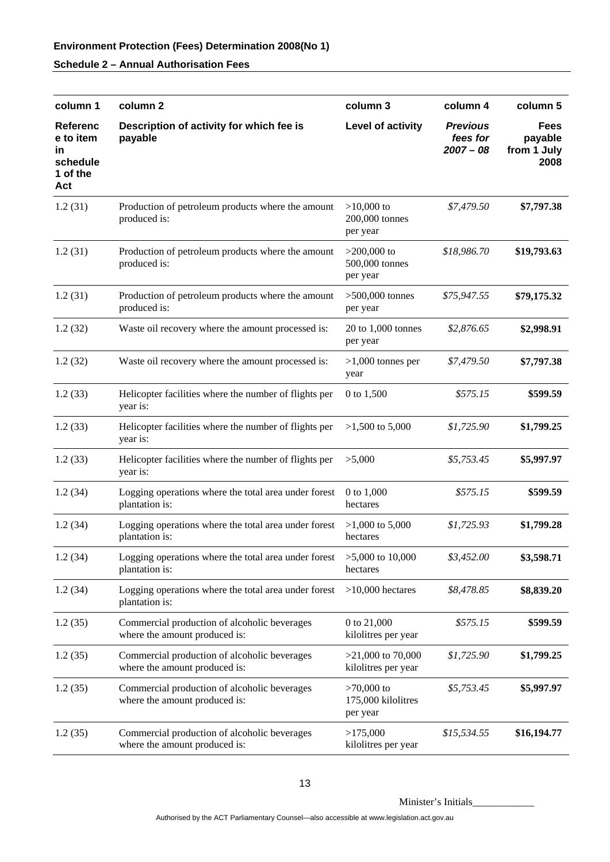| column 1                                                          | column <sub>2</sub>                                                           | column 3                                       | column 4                                   | column 5                               |
|-------------------------------------------------------------------|-------------------------------------------------------------------------------|------------------------------------------------|--------------------------------------------|----------------------------------------|
| <b>Referenc</b><br>e to item<br>in<br>schedule<br>1 of the<br>Act | Description of activity for which fee is<br>payable                           | Level of activity                              | <b>Previous</b><br>fees for<br>$2007 - 08$ | Fees<br>payable<br>from 1 July<br>2008 |
| 1.2(31)                                                           | Production of petroleum products where the amount<br>produced is:             | $>10,000$ to<br>200,000 tonnes<br>per year     | \$7,479.50                                 | \$7,797.38                             |
| 1.2(31)                                                           | Production of petroleum products where the amount<br>produced is:             | $>200,000$ to<br>500,000 tonnes<br>per year    | \$18,986.70                                | \$19,793.63                            |
| 1.2(31)                                                           | Production of petroleum products where the amount<br>produced is:             | $>500,000$ tonnes<br>per year                  | \$75,947.55                                | \$79,175.32                            |
| 1.2(32)                                                           | Waste oil recovery where the amount processed is:                             | 20 to 1,000 tonnes<br>per year                 | \$2,876.65                                 | \$2,998.91                             |
| 1.2(32)                                                           | Waste oil recovery where the amount processed is:                             | $>1,000$ tonnes per<br>year                    | \$7,479.50                                 | \$7,797.38                             |
| 1.2(33)                                                           | Helicopter facilities where the number of flights per<br>year is:             | 0 to 1,500                                     | \$575.15                                   | \$599.59                               |
| 1.2(33)                                                           | Helicopter facilities where the number of flights per<br>year is:             | $>1,500$ to 5,000                              | \$1,725.90                                 | \$1,799.25                             |
| 1.2(33)                                                           | Helicopter facilities where the number of flights per<br>year is:             | >5,000                                         | \$5,753.45                                 | \$5,997.97                             |
| 1.2(34)                                                           | Logging operations where the total area under forest<br>plantation is:        | 0 to 1,000<br>hectares                         | \$575.15                                   | \$599.59                               |
| 1.2(34)                                                           | Logging operations where the total area under forest<br>plantation is:        | $>1,000$ to 5,000<br>hectares                  | \$1,725.93                                 | \$1,799.28                             |
| 1.2(34)                                                           | Logging operations where the total area under forest<br>plantation is:        | $>5,000$ to 10,000<br>hectares                 | \$3,452.00                                 | \$3,598.71                             |
| 1.2(34)                                                           | Logging operations where the total area under forest<br>plantation is:        | $>10,000$ hectares                             | \$8,478.85                                 | \$8,839.20                             |
| 1.2(35)                                                           | Commercial production of alcoholic beverages<br>where the amount produced is: | 0 to 21,000<br>kilolitres per year             | \$575.15                                   | \$599.59                               |
| 1.2(35)                                                           | Commercial production of alcoholic beverages<br>where the amount produced is: | $>21,000$ to 70,000<br>kilolitres per year     | \$1,725.90                                 | \$1,799.25                             |
| 1.2(35)                                                           | Commercial production of alcoholic beverages<br>where the amount produced is: | $>70,000$ to<br>175,000 kilolitres<br>per year | \$5,753.45                                 | \$5,997.97                             |
| 1.2(35)                                                           | Commercial production of alcoholic beverages<br>where the amount produced is: | >175,000<br>kilolitres per year                | \$15,534.55                                | \$16,194.77                            |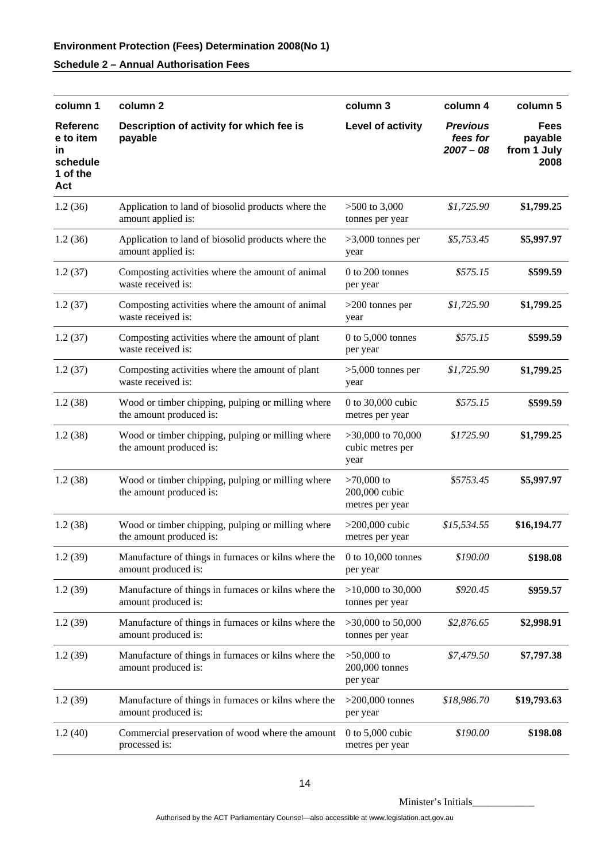| column 1                                                          | column <sub>2</sub>                                                          | column 3                                         | column 4                                   | column 5                                      |
|-------------------------------------------------------------------|------------------------------------------------------------------------------|--------------------------------------------------|--------------------------------------------|-----------------------------------------------|
| <b>Referenc</b><br>e to item<br>ın<br>schedule<br>1 of the<br>Act | Description of activity for which fee is<br>payable                          | Level of activity                                | <b>Previous</b><br>fees for<br>$2007 - 08$ | <b>Fees</b><br>payable<br>from 1 July<br>2008 |
| 1.2(36)                                                           | Application to land of biosolid products where the<br>amount applied is:     | $>500$ to 3,000<br>tonnes per year               | \$1,725.90                                 | \$1,799.25                                    |
| 1.2(36)                                                           | Application to land of biosolid products where the<br>amount applied is:     | $>3,000$ tonnes per<br>year                      | \$5,753.45                                 | \$5,997.97                                    |
| 1.2(37)                                                           | Composting activities where the amount of animal<br>waste received is:       | $0$ to $200$ tonnes<br>per year                  | \$575.15                                   | \$599.59                                      |
| 1.2(37)                                                           | Composting activities where the amount of animal<br>waste received is:       | $>200$ tonnes per<br>year                        | \$1,725.90                                 | \$1,799.25                                    |
| 1.2(37)                                                           | Composting activities where the amount of plant<br>waste received is:        | $0$ to $5,000$ tonnes<br>per year                | \$575.15                                   | \$599.59                                      |
| 1.2(37)                                                           | Composting activities where the amount of plant<br>waste received is:        | $>5,000$ tonnes per<br>year                      | \$1,725.90                                 | \$1,799.25                                    |
| 1.2(38)                                                           | Wood or timber chipping, pulping or milling where<br>the amount produced is: | 0 to 30,000 cubic<br>metres per year             | \$575.15                                   | \$599.59                                      |
| 1.2(38)                                                           | Wood or timber chipping, pulping or milling where<br>the amount produced is: | $>30,000$ to 70,000<br>cubic metres per<br>year  | \$1725.90                                  | \$1,799.25                                    |
| 1.2(38)                                                           | Wood or timber chipping, pulping or milling where<br>the amount produced is: | $>70,000$ to<br>200,000 cubic<br>metres per year | \$5753.45                                  | \$5,997.97                                    |
| 1.2(38)                                                           | Wood or timber chipping, pulping or milling where<br>the amount produced is: | $>200,000$ cubic<br>metres per year              | \$15,534.55                                | \$16,194.77                                   |
| 1.2(39)                                                           | Manufacture of things in furnaces or kilns where the<br>amount produced is:  | 0 to $10,000$ tonnes<br>per year                 | \$190.00                                   | \$198.08                                      |
| 1.2(39)                                                           | Manufacture of things in furnaces or kilns where the<br>amount produced is:  | $>10,000$ to $30,000$<br>tonnes per year         | \$920.45                                   | \$959.57                                      |
| 1.2(39)                                                           | Manufacture of things in furnaces or kilns where the<br>amount produced is:  | $>30,000$ to 50,000<br>tonnes per year           | \$2,876.65                                 | \$2,998.91                                    |
| 1.2(39)                                                           | Manufacture of things in furnaces or kilns where the<br>amount produced is:  | $>50,000$ to<br>200,000 tonnes<br>per year       | \$7,479.50                                 | \$7,797.38                                    |
| 1.2(39)                                                           | Manufacture of things in furnaces or kilns where the<br>amount produced is:  | $>200,000$ tonnes<br>per year                    | \$18,986.70                                | \$19,793.63                                   |
| 1.2(40)                                                           | Commercial preservation of wood where the amount<br>processed is:            | 0 to $5,000$ cubic<br>metres per year            | \$190.00                                   | \$198.08                                      |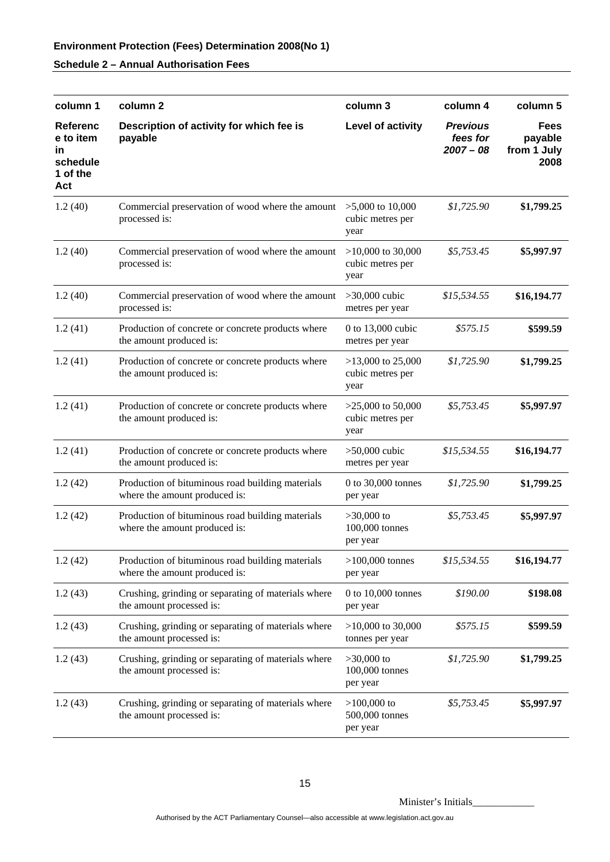| column 1                                                   | column <sub>2</sub>                                                               | column 3                                        | column 4                                   | column 5                                      |
|------------------------------------------------------------|-----------------------------------------------------------------------------------|-------------------------------------------------|--------------------------------------------|-----------------------------------------------|
| Referenc<br>e to item<br>ın<br>schedule<br>1 of the<br>Act | Description of activity for which fee is<br>payable                               | Level of activity                               | <b>Previous</b><br>fees for<br>$2007 - 08$ | <b>Fees</b><br>payable<br>from 1 July<br>2008 |
| 1.2(40)                                                    | Commercial preservation of wood where the amount<br>processed is:                 | $>5,000$ to 10,000<br>cubic metres per<br>year  | \$1,725.90                                 | \$1,799.25                                    |
| 1.2(40)                                                    | Commercial preservation of wood where the amount<br>processed is:                 | $>10,000$ to 30,000<br>cubic metres per<br>year | \$5,753.45                                 | \$5,997.97                                    |
| 1.2(40)                                                    | Commercial preservation of wood where the amount<br>processed is:                 | $>30,000$ cubic<br>metres per year              | \$15,534.55                                | \$16,194.77                                   |
| 1.2(41)                                                    | Production of concrete or concrete products where<br>the amount produced is:      | 0 to 13,000 cubic<br>metres per year            | \$575.15                                   | \$599.59                                      |
| 1.2(41)                                                    | Production of concrete or concrete products where<br>the amount produced is:      | $>13,000$ to 25,000<br>cubic metres per<br>year | \$1,725.90                                 | \$1,799.25                                    |
| 1.2(41)                                                    | Production of concrete or concrete products where<br>the amount produced is:      | $>25,000$ to 50,000<br>cubic metres per<br>year | \$5,753.45                                 | \$5,997.97                                    |
| 1.2(41)                                                    | Production of concrete or concrete products where<br>the amount produced is:      | $>50,000$ cubic<br>metres per year              | \$15,534.55                                | \$16,194.77                                   |
| 1.2(42)                                                    | Production of bituminous road building materials<br>where the amount produced is: | 0 to 30,000 tonnes<br>per year                  | \$1,725.90                                 | \$1,799.25                                    |
| 1.2(42)                                                    | Production of bituminous road building materials<br>where the amount produced is: | $>30,000$ to<br>100,000 tonnes<br>per year      | \$5,753.45                                 | \$5,997.97                                    |
| 1.2(42)                                                    | Production of bituminous road building materials<br>where the amount produced is: | $>100,000$ tonnes<br>per year                   | \$15,534.55                                | \$16,194.77                                   |
| 1.2(43)                                                    | Crushing, grinding or separating of materials where<br>the amount processed is:   | $0$ to $10,000$ tonnes<br>per year              | \$190.00                                   | \$198.08                                      |
| 1.2(43)                                                    | Crushing, grinding or separating of materials where<br>the amount processed is:   | $>10,000$ to 30,000<br>tonnes per year          | \$575.15                                   | \$599.59                                      |
| 1.2(43)                                                    | Crushing, grinding or separating of materials where<br>the amount processed is:   | $>30,000$ to<br>100,000 tonnes<br>per year      | \$1,725.90                                 | \$1,799.25                                    |
| 1.2(43)                                                    | Crushing, grinding or separating of materials where<br>the amount processed is:   | $>100,000$ to<br>500,000 tonnes<br>per year     | \$5,753.45                                 | \$5,997.97                                    |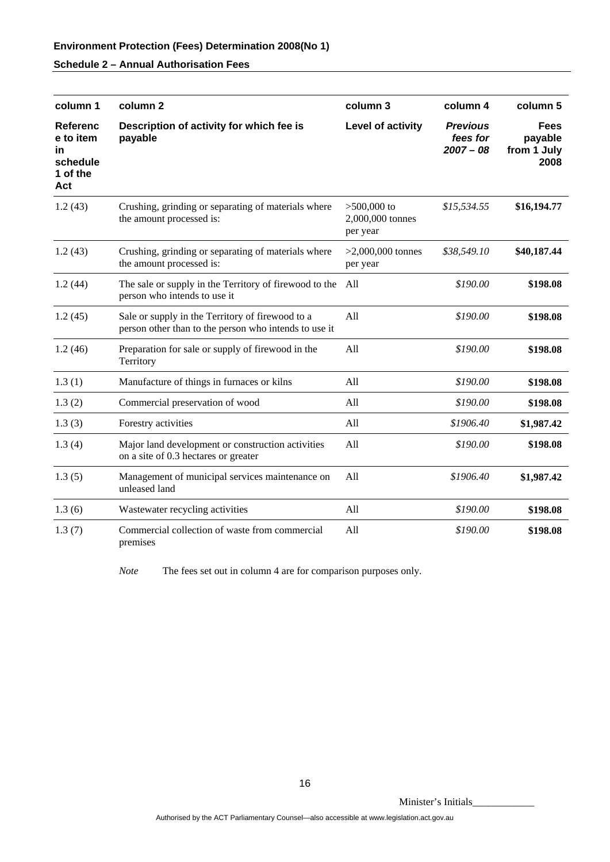| column 1                                                          | column <sub>2</sub>                                                                                       | column 3                                      | column 4                                   | column 5                                      |
|-------------------------------------------------------------------|-----------------------------------------------------------------------------------------------------------|-----------------------------------------------|--------------------------------------------|-----------------------------------------------|
| <b>Referenc</b><br>e to item<br>in<br>schedule<br>1 of the<br>Act | Description of activity for which fee is<br>payable                                                       | Level of activity                             | <b>Previous</b><br>fees for<br>$2007 - 08$ | <b>Fees</b><br>payable<br>from 1 July<br>2008 |
| 1.2(43)                                                           | Crushing, grinding or separating of materials where<br>the amount processed is:                           | $>500,000$ to<br>2,000,000 tonnes<br>per year | \$15,534.55                                | \$16,194.77                                   |
| 1.2(43)                                                           | Crushing, grinding or separating of materials where<br>the amount processed is:                           | $>2,000,000$ tonnes<br>per year               | \$38,549.10                                | \$40,187.44                                   |
| 1.2(44)                                                           | The sale or supply in the Territory of firewood to the<br>person who intends to use it                    | All                                           | \$190.00                                   | \$198.08                                      |
| 1.2(45)                                                           | Sale or supply in the Territory of firewood to a<br>person other than to the person who intends to use it | All                                           | \$190.00                                   | \$198.08                                      |
| 1.2(46)                                                           | Preparation for sale or supply of firewood in the<br>Territory                                            | All                                           | \$190.00                                   | \$198.08                                      |
| 1.3(1)                                                            | Manufacture of things in furnaces or kilns                                                                | All                                           | \$190.00                                   | \$198.08                                      |
| 1.3(2)                                                            | Commercial preservation of wood                                                                           | All                                           | \$190.00                                   | \$198.08                                      |
| 1.3(3)                                                            | Forestry activities                                                                                       | All                                           | \$1906.40                                  | \$1,987.42                                    |
| 1.3(4)                                                            | Major land development or construction activities<br>on a site of 0.3 hectares or greater                 | All                                           | \$190.00                                   | \$198.08                                      |
| 1.3(5)                                                            | Management of municipal services maintenance on<br>unleased land                                          | All                                           | \$1906.40                                  | \$1,987.42                                    |
| 1.3(6)                                                            | Wastewater recycling activities                                                                           | All                                           | \$190.00                                   | \$198.08                                      |
| 1.3(7)                                                            | Commercial collection of waste from commercial<br>premises                                                | All                                           | \$190.00                                   | \$198.08                                      |

*Note* The fees set out in column 4 are for comparison purposes only.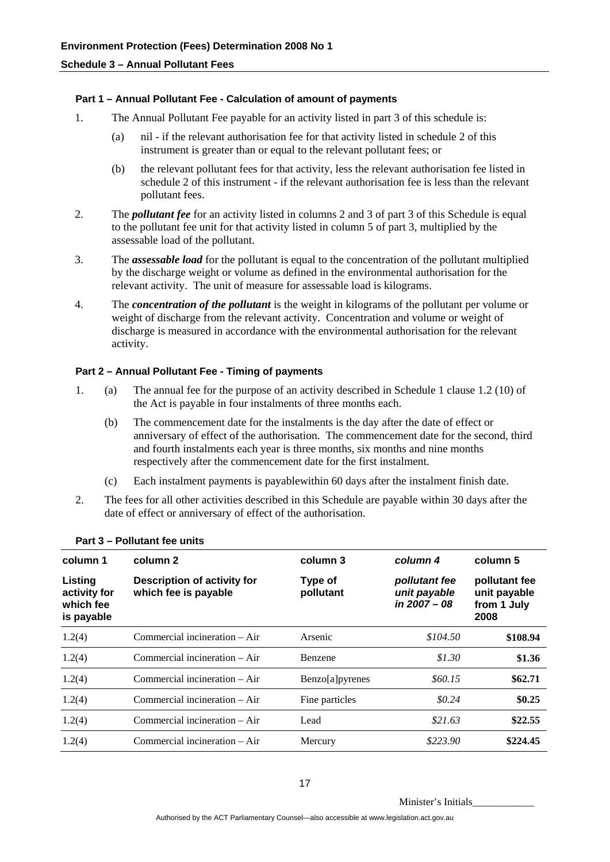**Schedule 3 – Annual Pollutant Fees** 

#### **Part 1 – Annual Pollutant Fee - Calculation of amount of payments**

- 1. The Annual Pollutant Fee payable for an activity listed in part 3 of this schedule is:
	- (a) nil if the relevant authorisation fee for that activity listed in schedule 2 of this instrument is greater than or equal to the relevant pollutant fees; or
	- (b) the relevant pollutant fees for that activity, less the relevant authorisation fee listed in schedule 2 of this instrument - if the relevant authorisation fee is less than the relevant pollutant fees.
- 2. The *pollutant fee* for an activity listed in columns 2 and 3 of part 3 of this Schedule is equal to the pollutant fee unit for that activity listed in column 5 of part 3, multiplied by the assessable load of the pollutant.
- 3. The *assessable load* for the pollutant is equal to the concentration of the pollutant multiplied by the discharge weight or volume as defined in the environmental authorisation for the relevant activity. The unit of measure for assessable load is kilograms.
- 4. The *concentration of the pollutant* is the weight in kilograms of the pollutant per volume or weight of discharge from the relevant activity. Concentration and volume or weight of discharge is measured in accordance with the environmental authorisation for the relevant activity.

#### **Part 2 – Annual Pollutant Fee - Timing of payments**

- 1. (a) The annual fee for the purpose of an activity described in Schedule 1 clause 1.2 (10) of the Act is payable in four instalments of three months each.
	- (b) The commencement date for the instalments is the day after the date of effect or anniversary of effect of the authorisation. The commencement date for the second, third and fourth instalments each year is three months, six months and nine months respectively after the commencement date for the first instalment.
	- (c) Each instalment payments is payablewithin 60 days after the instalment finish date.
- 2. The fees for all other activities described in this Schedule are payable within 30 days after the date of effect or anniversary of effect of the authorisation.

| column 1                                           | column 2                                            | column 3             | column 4                                        | column 5                                             |
|----------------------------------------------------|-----------------------------------------------------|----------------------|-------------------------------------------------|------------------------------------------------------|
| Listing<br>activity for<br>which fee<br>is payable | Description of activity for<br>which fee is payable | Type of<br>pollutant | pollutant fee<br>unit payable<br>in $2007 - 08$ | pollutant fee<br>unit payable<br>from 1 July<br>2008 |
| 1.2(4)                                             | Commercial incineration – Air                       | Arsenic              | \$104.50                                        | \$108.94                                             |
| 1.2(4)                                             | Commercial incineration $-$ Air                     | <b>Benzene</b>       | \$1.30                                          | \$1.36                                               |
| 1.2(4)                                             | Commercial incineration – Air                       | Benzo[a]pyrenes      | \$60.15                                         | \$62.71                                              |
| 1.2(4)                                             | Commercial incineration $-$ Air                     | Fine particles       | \$0.24\$                                        | \$0.25                                               |
| 1.2(4)                                             | Commercial incineration $-$ Air                     | Lead                 | \$21.63                                         | \$22.55                                              |
| 1.2(4)                                             | Commercial incineration - Air                       | Mercury              | \$223.90                                        | \$224.45                                             |

#### **Part 3 – Pollutant fee units**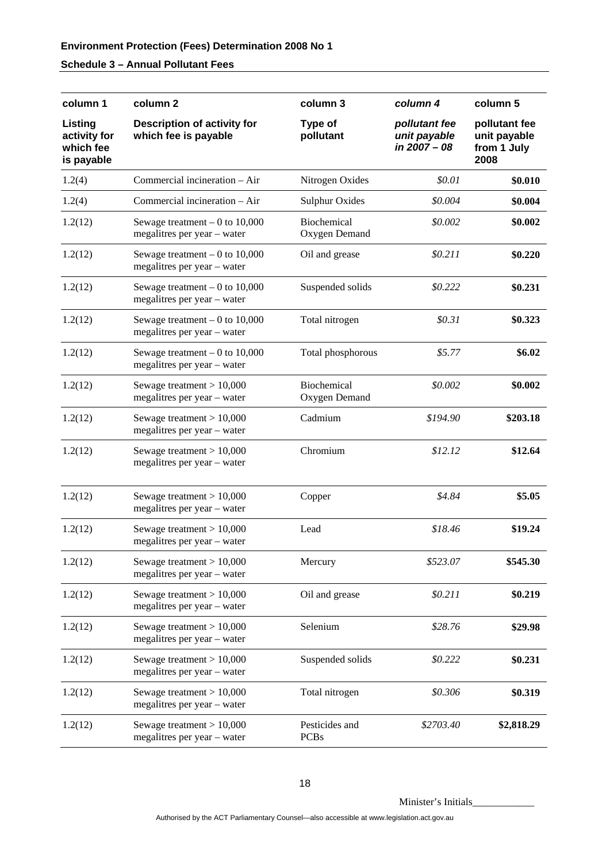# **Schedule 3 – Annual Pollutant Fees**

| column 1                                           | column <sub>2</sub>                                            | column 3                            | column 4                                      | column 5                                             |
|----------------------------------------------------|----------------------------------------------------------------|-------------------------------------|-----------------------------------------------|------------------------------------------------------|
| Listing<br>activity for<br>which fee<br>is payable | <b>Description of activity for</b><br>which fee is payable     | Type of<br>pollutant                | pollutant fee<br>unit payable<br>in 2007 - 08 | pollutant fee<br>unit payable<br>from 1 July<br>2008 |
| 1.2(4)                                             | Commercial incineration - Air                                  | Nitrogen Oxides                     | \$0.01                                        | \$0.010                                              |
| 1.2(4)                                             | Commercial incineration - Air                                  | <b>Sulphur Oxides</b>               | \$0.004                                       | \$0.004                                              |
| 1.2(12)                                            | Sewage treatment $-0$ to 10,000<br>megalitres per year - water | <b>Biochemical</b><br>Oxygen Demand | \$0.002                                       | \$0.002                                              |
| 1.2(12)                                            | Sewage treatment $-0$ to 10,000<br>megalitres per year - water | Oil and grease                      | \$0.211                                       | \$0.220                                              |
| 1.2(12)                                            | Sewage treatment $-0$ to 10,000<br>megalitres per year - water | Suspended solids                    | \$0.222                                       | \$0.231                                              |
| 1.2(12)                                            | Sewage treatment $-0$ to 10,000<br>megalitres per year - water | Total nitrogen                      | \$0.31                                        | \$0.323                                              |
| 1.2(12)                                            | Sewage treatment $-0$ to 10,000<br>megalitres per year - water | Total phosphorous                   | \$5.77                                        | \$6.02                                               |
| 1.2(12)                                            | Sewage treatment $> 10,000$<br>megalitres per year - water     | Biochemical<br>Oxygen Demand        | \$0.002                                       | \$0.002                                              |
| 1.2(12)                                            | Sewage treatment $> 10,000$<br>megalitres per year - water     | Cadmium                             | \$194.90                                      | \$203.18                                             |
| 1.2(12)                                            | Sewage treatment $> 10,000$<br>megalitres per year - water     | Chromium                            | \$12.12                                       | \$12.64                                              |
| 1.2(12)                                            | Sewage treatment $> 10,000$<br>megalitres per year - water     | Copper                              | \$4.84                                        | \$5.05                                               |
| 1.2(12)                                            | Sewage treatment $> 10,000$<br>megalitres per year - water     | Lead                                | \$18.46                                       | \$19.24                                              |
| 1.2(12)                                            | Sewage treatment $> 10,000$<br>megalitres per year - water     | Mercury                             | \$523.07                                      | \$545.30                                             |
| 1.2(12)                                            | Sewage treatment $> 10,000$<br>megalitres per year - water     | Oil and grease                      | \$0.211                                       | \$0.219                                              |
| 1.2(12)                                            | Sewage treatment $> 10,000$<br>megalitres per year - water     | Selenium                            | \$28.76                                       | \$29.98                                              |
| 1.2(12)                                            | Sewage treatment $> 10,000$<br>megalitres per year - water     | Suspended solids                    | \$0.222                                       | \$0.231                                              |
| 1.2(12)                                            | Sewage treatment $> 10,000$<br>megalitres per year - water     | Total nitrogen                      | \$0.306                                       | \$0.319                                              |
| 1.2(12)                                            | Sewage treatment $> 10,000$<br>megalitres per year - water     | Pesticides and<br><b>PCBs</b>       | \$2703.40                                     | \$2,818.29                                           |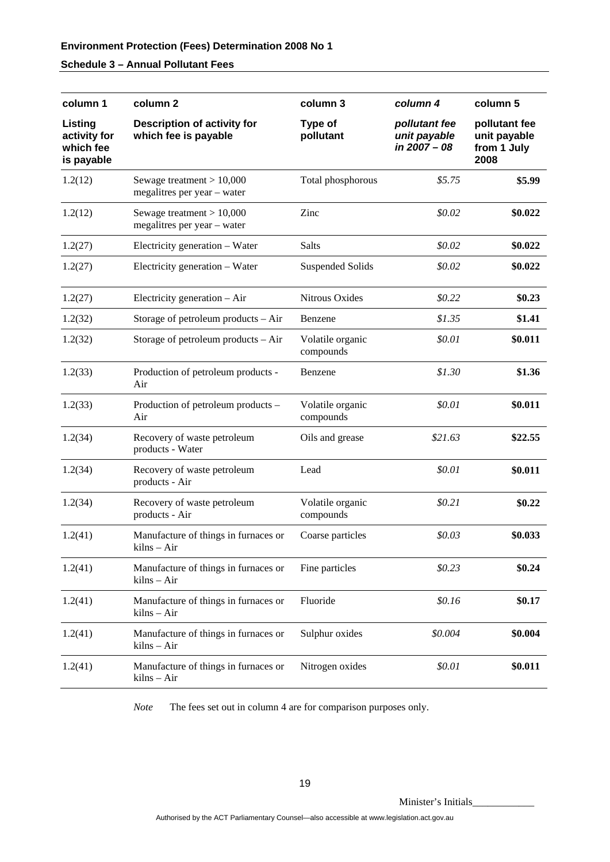# **Schedule 3 – Annual Pollutant Fees**

| column 1                                           | column 2                                                   | column 3                      | column 4                                      | column 5                                             |
|----------------------------------------------------|------------------------------------------------------------|-------------------------------|-----------------------------------------------|------------------------------------------------------|
| Listing<br>activity for<br>which fee<br>is payable | Description of activity for<br>which fee is payable        | Type of<br>pollutant          | pollutant fee<br>unit payable<br>in 2007 - 08 | pollutant fee<br>unit payable<br>from 1 July<br>2008 |
| 1.2(12)                                            | Sewage treatment $> 10,000$<br>megalitres per year – water | Total phosphorous             | \$5.75                                        | \$5.99                                               |
| 1.2(12)                                            | Sewage treatment $> 10,000$<br>megalitres per year - water | Zinc                          | \$0.02                                        | \$0.022                                              |
| 1.2(27)                                            | Electricity generation - Water                             | Salts                         | \$0.02\$                                      | \$0.022                                              |
| 1.2(27)                                            | Electricity generation - Water                             | <b>Suspended Solids</b>       | \$0.02                                        | \$0.022                                              |
| 1.2(27)                                            | Electricity generation $-$ Air                             | Nitrous Oxides                | \$0.22                                        | \$0.23                                               |
| 1.2(32)                                            | Storage of petroleum products – Air                        | Benzene                       | \$1.35                                        | \$1.41                                               |
| 1.2(32)                                            | Storage of petroleum products – Air                        | Volatile organic<br>compounds | \$0.01                                        | \$0.011                                              |
| 1.2(33)                                            | Production of petroleum products -<br>Air                  | Benzene                       | \$1.30                                        | \$1.36                                               |
| 1.2(33)                                            | Production of petroleum products -<br>Air                  | Volatile organic<br>compounds | \$0.01                                        | \$0.011                                              |
| 1.2(34)                                            | Recovery of waste petroleum<br>products - Water            | Oils and grease               | \$21.63                                       | \$22.55                                              |
| 1.2(34)                                            | Recovery of waste petroleum<br>products - Air              | Lead                          | \$0.01                                        | \$0.011                                              |
| 1.2(34)                                            | Recovery of waste petroleum<br>products - Air              | Volatile organic<br>compounds | \$0.21                                        | \$0.22                                               |
| 1.2(41)                                            | Manufacture of things in furnaces or<br>kilns – Air        | Coarse particles              | \$0.03\$                                      | \$0.033                                              |
| 1.2(41)                                            | Manufacture of things in furnaces or<br>kilns – Air        | Fine particles                | \$0.23\$                                      | \$0.24                                               |
| 1.2(41)                                            | Manufacture of things in furnaces or<br>kilns – Air        | Fluoride                      | \$0.16                                        | \$0.17                                               |
| 1.2(41)                                            | Manufacture of things in furnaces or<br>kilns – Air        | Sulphur oxides                | \$0.004                                       | \$0.004                                              |
| 1.2(41)                                            | Manufacture of things in furnaces or<br>kilns – Air        | Nitrogen oxides               | \$0.01                                        | \$0.011                                              |

*Note* The fees set out in column 4 are for comparison purposes only.